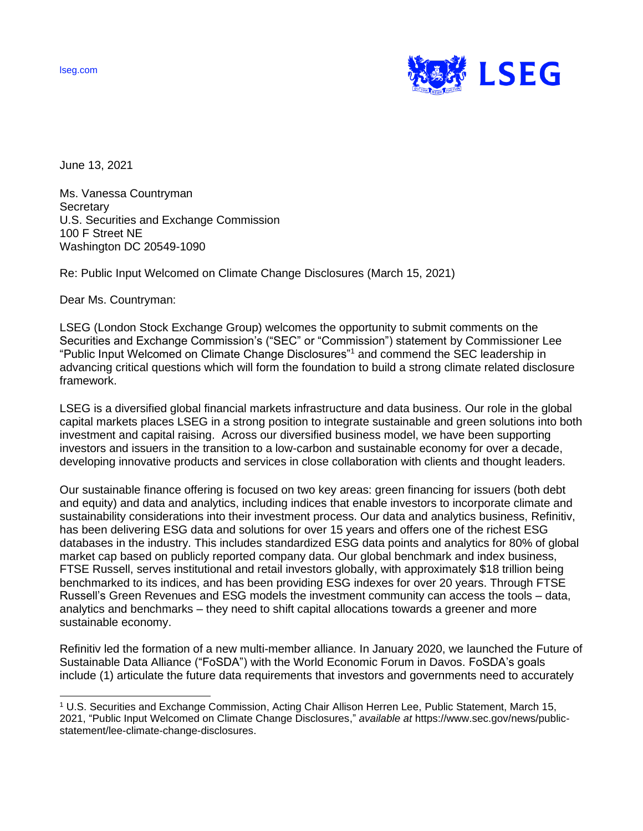lseg.com



June 13, 2021

Ms. Vanessa Countryman **Secretary** U.S. Securities and Exchange Commission 100 F Street NE Washington DC 20549-1090

Re: Public Input Welcomed on Climate Change Disclosures (March 15, 2021)

Dear Ms. Countryman:

LSEG (London Stock Exchange Group) welcomes the opportunity to submit comments on the Securities and Exchange Commission's ("SEC" or "Commission") statement by Commissioner Lee "Public Input Welcomed on Climate Change Disclosures"<sup>1</sup> and commend the SEC leadership in advancing critical questions which will form the foundation to build a strong climate related disclosure framework.

LSEG is a diversified global financial markets infrastructure and data business. Our role in the global capital markets places LSEG in a strong position to integrate sustainable and green solutions into both investment and capital raising. Across our diversified business model, we have been supporting investors and issuers in the transition to a low-carbon and sustainable economy for over a decade, developing innovative products and services in close collaboration with clients and thought leaders.

Our sustainable finance offering is focused on two key areas: green financing for issuers (both debt and equity) and data and analytics, including indices that enable investors to incorporate climate and sustainability considerations into their investment process. Our data and analytics business, Refinitiv, has been delivering ESG data and solutions for over 15 years and offers one of the richest ESG databases in the industry. This includes standardized ESG data points and analytics for 80% of global market cap based on publicly reported company data. Our global benchmark and index business, FTSE Russell, serves institutional and retail investors globally, with approximately \$18 trillion being benchmarked to its indices, and has been providing ESG indexes for over 20 years. Through FTSE Russell's Green Revenues and ESG models the investment community can access the tools – data, analytics and benchmarks – they need to shift capital allocations towards a greener and more sustainable economy.

Refinitiv led the formation of a new multi-member alliance. In January 2020, we launched the Future of Sustainable Data Alliance ("FoSDA") with the World Economic Forum in Davos. FoSDA's goals include (1) articulate the future data requirements that investors and governments need to accurately

<sup>1</sup> U.S. Securities and Exchange Commission, Acting Chair Allison Herren Lee, Public Statement, March 15, 2021, "Public Input Welcomed on Climate Change Disclosures," *available at* https://www.sec.gov/news/publicstatement/lee-climate-change-disclosures.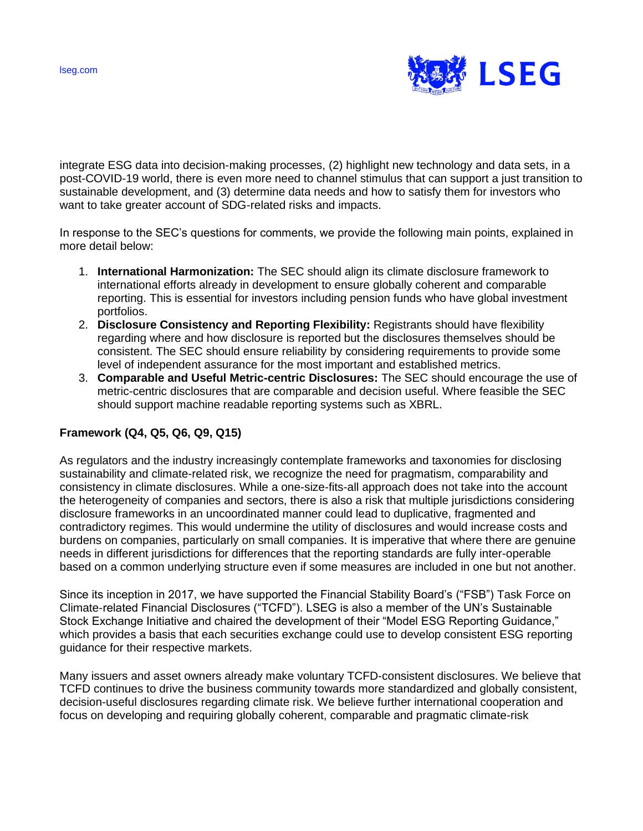

integrate ESG data into decision-making processes, (2) highlight new technology and data sets, in a post-COVID-19 world, there is even more need to channel stimulus that can support a just transition to sustainable development, and (3) determine data needs and how to satisfy them for investors who want to take greater account of SDG-related risks and impacts.

In response to the SEC's questions for comments, we provide the following main points, explained in more detail below:

- 1. **International Harmonization:** The SEC should align its climate disclosure framework to international efforts already in development to ensure globally coherent and comparable reporting. This is essential for investors including pension funds who have global investment portfolios.
- 2. **Disclosure Consistency and Reporting Flexibility:** Registrants should have flexibility regarding where and how disclosure is reported but the disclosures themselves should be consistent. The SEC should ensure reliability by considering requirements to provide some level of independent assurance for the most important and established metrics.
- 3. **Comparable and Useful Metric-centric Disclosures:** The SEC should encourage the use of metric-centric disclosures that are comparable and decision useful. Where feasible the SEC should support machine readable reporting systems such as XBRL.

## **Framework (Q4, Q5, Q6, Q9, Q15)**

As regulators and the industry increasingly contemplate frameworks and taxonomies for disclosing sustainability and climate-related risk, we recognize the need for pragmatism, comparability and consistency in climate disclosures. While a one-size-fits-all approach does not take into the account the heterogeneity of companies and sectors, there is also a risk that multiple jurisdictions considering disclosure frameworks in an uncoordinated manner could lead to duplicative, fragmented and contradictory regimes. This would undermine the utility of disclosures and would increase costs and burdens on companies, particularly on small companies. It is imperative that where there are genuine needs in different jurisdictions for differences that the reporting standards are fully inter-operable based on a common underlying structure even if some measures are included in one but not another.

Since its inception in 2017, we have supported the Financial Stability Board's ("FSB") Task Force on Climate-related Financial Disclosures ("TCFD"). LSEG is also a member of the UN's Sustainable Stock Exchange Initiative and chaired the development of their "Model ESG Reporting Guidance," which provides a basis that each securities exchange could use to develop consistent ESG reporting guidance for their respective markets.

Many issuers and asset owners already make voluntary TCFD-consistent disclosures. We believe that TCFD continues to drive the business community towards more standardized and globally consistent, decision-useful disclosures regarding climate risk. We believe further international cooperation and focus on developing and requiring globally coherent, comparable and pragmatic climate-risk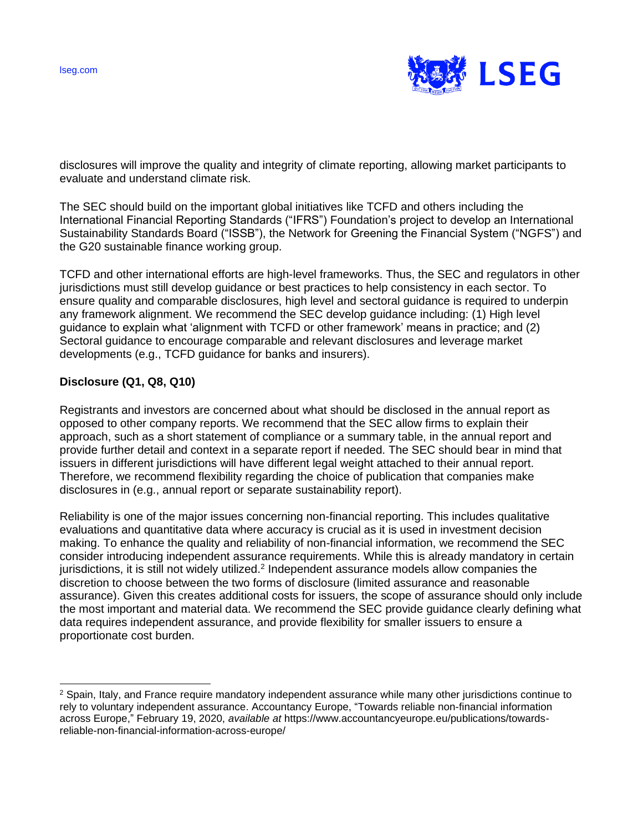

disclosures will improve the quality and integrity of climate reporting, allowing market participants to evaluate and understand climate risk.

The SEC should build on the important global initiatives like TCFD and others including the International Financial Reporting Standards ("IFRS") Foundation's project to develop an International Sustainability Standards Board ("ISSB"), the Network for Greening the Financial System ("NGFS") and the G20 sustainable finance working group.

TCFD and other international efforts are high-level frameworks. Thus, the SEC and regulators in other jurisdictions must still develop guidance or best practices to help consistency in each sector. To ensure quality and comparable disclosures, high level and sectoral guidance is required to underpin any framework alignment. We recommend the SEC develop guidance including: (1) High level guidance to explain what 'alignment with TCFD or other framework' means in practice; and (2) Sectoral guidance to encourage comparable and relevant disclosures and leverage market developments (e.g., TCFD guidance for banks and insurers).

## **Disclosure (Q1, Q8, Q10)**

Registrants and investors are concerned about what should be disclosed in the annual report as opposed to other company reports. We recommend that the SEC allow firms to explain their approach, such as a short statement of compliance or a summary table, in the annual report and provide further detail and context in a separate report if needed. The SEC should bear in mind that issuers in different jurisdictions will have different legal weight attached to their annual report. Therefore, we recommend flexibility regarding the choice of publication that companies make disclosures in (e.g., annual report or separate sustainability report).

Reliability is one of the major issues concerning non-financial reporting. This includes qualitative evaluations and quantitative data where accuracy is crucial as it is used in investment decision making. To enhance the quality and reliability of non-financial information, we recommend the SEC consider introducing independent assurance requirements. While this is already mandatory in certain jurisdictions, it is still not widely utilized.<sup>2</sup> Independent assurance models allow companies the discretion to choose between the two forms of disclosure (limited assurance and reasonable assurance). Given this creates additional costs for issuers, the scope of assurance should only include the most important and material data. We recommend the SEC provide guidance clearly defining what data requires independent assurance, and provide flexibility for smaller issuers to ensure a proportionate cost burden.

<sup>&</sup>lt;sup>2</sup> Spain, Italy, and France require mandatory independent assurance while many other jurisdictions continue to rely to voluntary independent assurance. Accountancy Europe, "Towards reliable non-financial information across Europe," February 19, 2020, *available at* https://www.accountancyeurope.eu/publications/towardsreliable-non-financial-information-across-europe/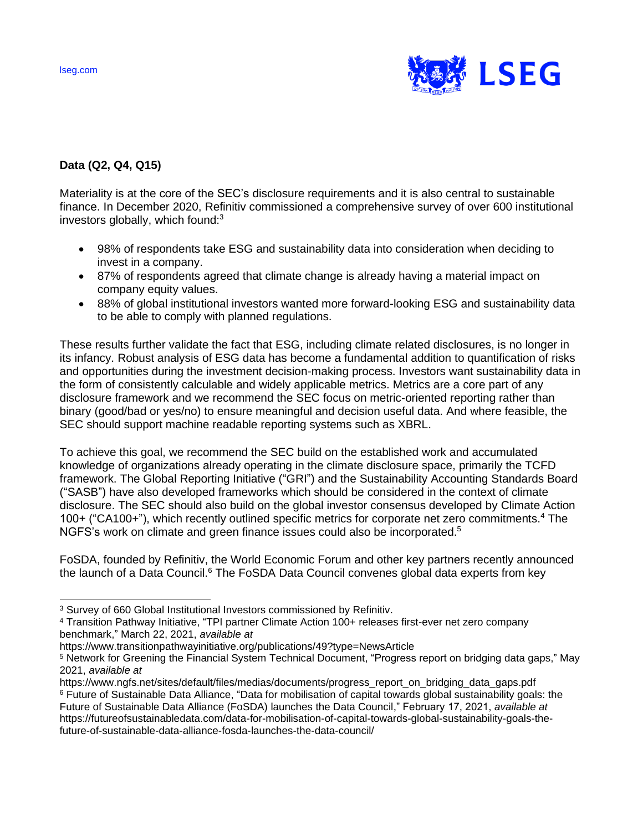lseg.com



## **Data (Q2, Q4, Q15)**

Materiality is at the core of the SEC's disclosure requirements and it is also central to sustainable finance. In December 2020, Refinitiv commissioned a comprehensive survey of over 600 institutional investors globally, which found: $3$ 

- 98% of respondents take ESG and sustainability data into consideration when deciding to invest in a company.
- 87% of respondents agreed that climate change is already having a material impact on company equity values.
- 88% of global institutional investors wanted more forward-looking ESG and sustainability data to be able to comply with planned regulations.

These results further validate the fact that ESG, including climate related disclosures, is no longer in its infancy. Robust analysis of ESG data has become a fundamental addition to quantification of risks and opportunities during the investment decision-making process. Investors want sustainability data in the form of consistently calculable and widely applicable metrics. Metrics are a core part of any disclosure framework and we recommend the SEC focus on metric-oriented reporting rather than binary (good/bad or yes/no) to ensure meaningful and decision useful data. And where feasible, the SEC should support machine readable reporting systems such as XBRL.

To achieve this goal, we recommend the SEC build on the established work and accumulated knowledge of organizations already operating in the climate disclosure space, primarily the TCFD framework. The Global Reporting Initiative ("GRI") and the Sustainability Accounting Standards Board ("SASB") have also developed frameworks which should be considered in the context of climate disclosure. The SEC should also build on the global investor consensus developed by Climate Action 100+ ("CA100+"), which recently outlined specific metrics for corporate net zero commitments.<sup>4</sup> The NGFS's work on climate and green finance issues could also be incorporated.<sup>5</sup>

FoSDA, founded by Refinitiv, the World Economic Forum and other key partners recently announced the launch of a Data Council.<sup>6</sup> The FoSDA Data Council convenes global data experts from key

https://www.transitionpathwayinitiative.org/publications/49?type=NewsArticle

<sup>&</sup>lt;sup>3</sup> Survey of 660 Global Institutional Investors commissioned by Refinitiv.

<sup>4</sup> Transition Pathway Initiative, "TPI partner Climate Action 100+ releases first-ever net zero company benchmark," March 22, 2021, *available at* 

<sup>5</sup> Network for Greening the Financial System Technical Document, "Progress report on bridging data gaps," May 2021, *available at*

https://www.ngfs.net/sites/default/files/medias/documents/progress\_report\_on\_bridging\_data\_gaps.pdf <sup>6</sup> Future of Sustainable Data Alliance, "Data for mobilisation of capital towards global sustainability goals: the Future of Sustainable Data Alliance (FoSDA) launches the Data Council," February 17, 2021, *available at* https://futureofsustainabledata.com/data-for-mobilisation-of-capital-towards-global-sustainability-goals-thefuture-of-sustainable-data-alliance-fosda-launches-the-data-council/